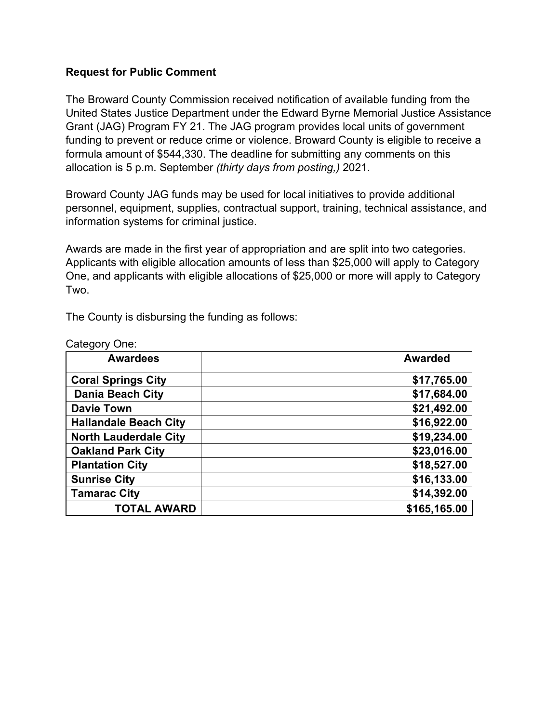## **Request for Public Comment**

The Broward County Commission received notification of available funding from the United States Justice Department under the Edward Byrne Memorial Justice Assistance Grant (JAG) Program FY 21. The JAG program provides local units of government funding to prevent or reduce crime or violence. Broward County is eligible to receive a formula amount of \$544,330. The deadline for submitting any comments on this allocation is 5 p.m. September *(thirty days from posting,)* 2021.

Broward County JAG funds may be used for local initiatives to provide additional personnel, equipment, supplies, contractual support, training, technical assistance, and information systems for criminal justice.

Awards are made in the first year of appropriation and are split into two categories. Applicants with eligible allocation amounts of less than \$25,000 will apply to Category One, and applicants with eligible allocations of \$25,000 or more will apply to Category Two.

The County is disbursing the funding as follows:

| <b>Awardees</b>              | <b>Awarded</b> |
|------------------------------|----------------|
| <b>Coral Springs City</b>    | \$17,765.00    |
| <b>Dania Beach City</b>      | \$17,684.00    |
| <b>Davie Town</b>            | \$21,492.00    |
| <b>Hallandale Beach City</b> | \$16,922.00    |
| <b>North Lauderdale City</b> | \$19,234.00    |
| <b>Oakland Park City</b>     | \$23,016.00    |
| <b>Plantation City</b>       | \$18,527.00    |
| <b>Sunrise City</b>          | \$16,133.00    |
| <b>Tamarac City</b>          | \$14,392.00    |
| TOTAL AWARD                  | \$165,165.00   |

Category One: